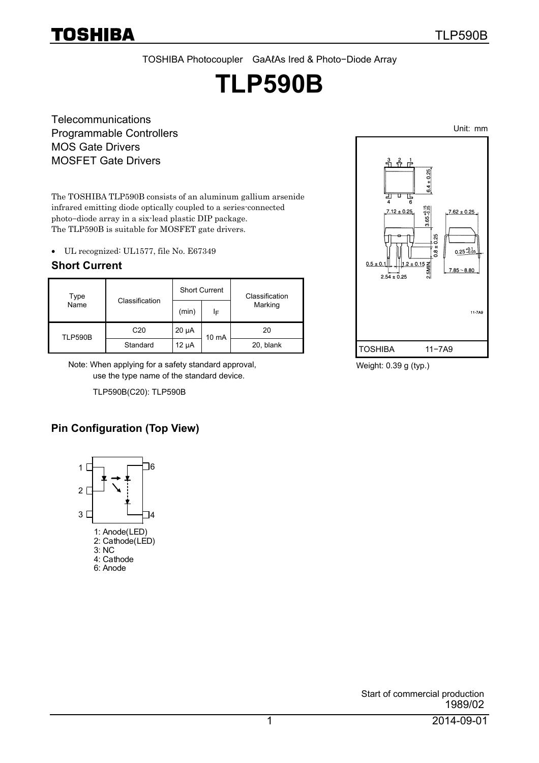TOSHIBA Photocoupler GaAℓAs Ired & Photo−Diode Array

# **TLP590B**

**Telecommunications** Programmable Controllers MOS Gate Drivers MOSFET Gate Drivers

The TOSHIBA TLP590B consists of an aluminum gallium arsenide infrared emitting diode optically coupled to a series-connected photo−diode array in a six-lead plastic DIP package. The TLP590B is suitable for MOSFET gate drivers.

• UL recognized: UL1577, file No. E67349

#### **Short Current**

| Type    |                 |            | <b>Short Current</b> | Classification |  |
|---------|-----------------|------------|----------------------|----------------|--|
| Name    | Classification  | (min)      | ΙF                   | Marking        |  |
| TLP590B | C <sub>20</sub> | $20 \mu A$ | 10 mA                | 20             |  |
|         | Standard        | $12 \mu A$ |                      | 20, blank      |  |

 Note: When applying for a safety standard approval, use the type name of the standard device.

TLP590B(C20): TLP590B

## **Pin Configuration (Top View)**





Weight: 0.39 g (typ.)

Unit: mm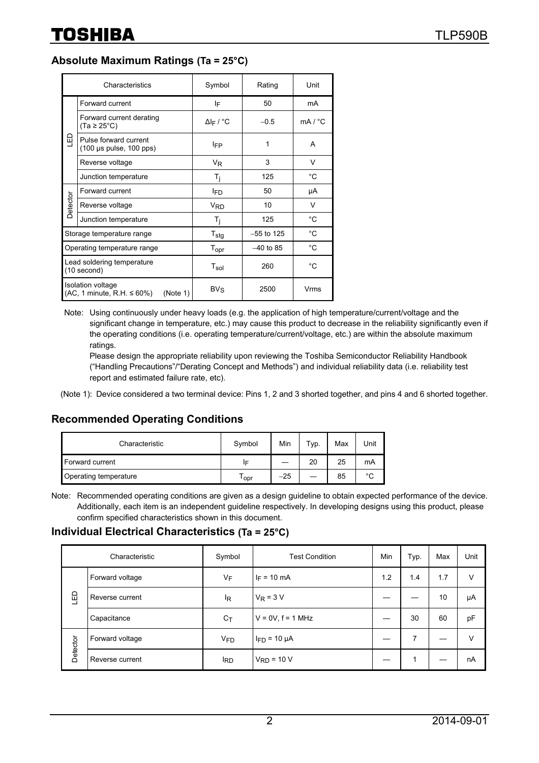#### **Absolute Maximum Ratings (Ta = 25°C)**

|          | Characteristics                                                             | Symbol                       | Rating       | Unit    |
|----------|-----------------------------------------------------------------------------|------------------------------|--------------|---------|
|          | Forward current                                                             | ١F                           | 50           | mA      |
|          | Forward current derating<br>$(Ta \geq 25^{\circ}C)$                         | $\Delta$ l <sub>F</sub> / °C | $-0.5$       | mA / °C |
| ם<br>צ   | Pulse forward current<br>$(100 \mu s \text{ pulse}, 100 \text{pps})$        | <b>IFP</b>                   | 1            | A       |
|          | Reverse voltage                                                             | $V_{R}$                      | 3            | V       |
|          | Junction temperature                                                        | $T_i$                        | 125          | °C      |
|          | Forward current                                                             | l <sub>ED</sub>              | 50           | μA      |
| Detector | Reverse voltage                                                             | <b>V<sub>RD</sub></b>        | 10           | V       |
|          | Junction temperature                                                        | $T_i$                        | 125          | °C      |
|          | Storage temperature range                                                   | $T_{\text{stg}}$             | $-55$ to 125 | °C      |
|          | Operating temperature range                                                 | Topr                         | $-40$ to 85  | °C      |
|          | Lead soldering temperature<br>(10 second)                                   | $T_{sol}$                    | 260          | °C      |
|          | <b>Isolation voltage</b><br>$(AC, 1$ minute, R.H. $\leq 60\%$ )<br>(Note 1) | $BV_S$                       | 2500         | Vrms    |

Note: Using continuously under heavy loads (e.g. the application of high temperature/current/voltage and the significant change in temperature, etc.) may cause this product to decrease in the reliability significantly even if the operating conditions (i.e. operating temperature/current/voltage, etc.) are within the absolute maximum ratings.

Please design the appropriate reliability upon reviewing the Toshiba Semiconductor Reliability Handbook ("Handling Precautions"/"Derating Concept and Methods") and individual reliability data (i.e. reliability test report and estimated failure rate, etc).

(Note 1): Device considered a two terminal device: Pins 1, 2 and 3 shorted together, and pins 4 and 6 shorted together.

### **Recommended Operating Conditions**

| Characteristic        | Symbol | Min   | $\tau_{\mathsf{yp}.}$ | Max | Unit        |
|-----------------------|--------|-------|-----------------------|-----|-------------|
| Forward current       | IF     |       | 20                    | 25  | mA          |
| Operating temperature | opr    | $-25$ |                       | 85  | $\sim$<br>◡ |

Note: Recommended operating conditions are given as a design guideline to obtain expected performance of the device. Additionally, each item is an independent guideline respectively. In developing designs using this product, please confirm specified characteristics shown in this document.

#### **Individual Electrical Characteristics (Ta = 25°C)**

|          | Characteristic  | Symbol                | <b>Test Condition</b>  | Min | Typ. | Max | Unit |
|----------|-----------------|-----------------------|------------------------|-----|------|-----|------|
|          | Forward voltage | VF                    | $I_F = 10 \text{ mA}$  | 1.2 | 1.4  | 1.7 | ν    |
| 品        | Reverse current | <sup>I</sup> R        | $V_R = 3 V$            |     |      | 10  | μA   |
|          | Capacitance     | $C_{\mathsf{T}}$      | $V = 0V$ , $f = 1$ MHz |     | 30   | 60  | pF   |
| Detector | Forward voltage | <b>V<sub>FD</sub></b> | $I_{FD}$ = 10 $\mu$ A  |     | 7    |     | v    |
|          | Reverse current | <sup>I</sup> RD       | $V_{RD}$ = 10 V        |     |      |     | nA   |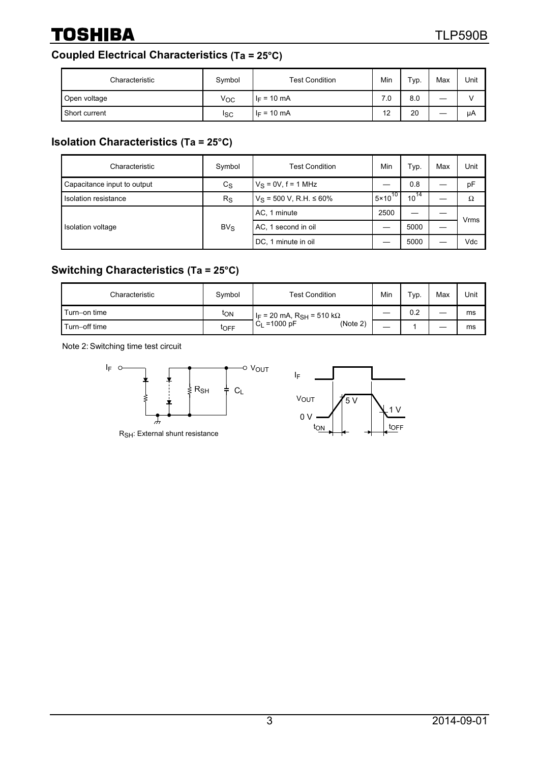## **Coupled Electrical Characteristics (Ta = 25°C)**

| Characteristic | Symbol         | <b>Test Condition</b> | Min | Typ. | Max | Unit |
|----------------|----------------|-----------------------|-----|------|-----|------|
| Open voltage   | Voc            | $I_F = 10$ mA         | 7.0 | 8.0  | –   |      |
| Short current  | <sub>ISC</sub> | $I_F = 10 \text{ mA}$ | 12  | 20   | __  | μA   |

## **Isolation Characteristics (Ta = 25°C)**

| Characteristic              | Symbol      | <b>Test Condition</b>          | Min                           | Typ.             | Max | Unit |
|-----------------------------|-------------|--------------------------------|-------------------------------|------------------|-----|------|
| Capacitance input to output | $c_{\rm S}$ | $V_S = 0V$ , f = 1 MHz         |                               | 0.8              |     | pF   |
| Isolation resistance        | $R_{\rm S}$ | $V_S$ = 500 V, R.H. $\leq$ 60% | $\overline{5 \times 10}^{10}$ | $\sqrt{10}^{14}$ |     | Ω    |
| Isolation voltage           |             | AC, 1 minute                   | 2500                          |                  |     |      |
|                             | $BV_S$      | AC, 1 second in oil            | 5000                          |                  |     | Vrms |
|                             |             | DC, 1 minute in oil            |                               | 5000             |     | Vdc  |

## **Switching Characteristics (Ta = 25°C)**

| Characteristic | Symbol | <b>Test Condition</b>                    | Min | $TVP$ . | Max | Unit |
|----------------|--------|------------------------------------------|-----|---------|-----|------|
| Turn-on time   | ton    | $ I_F = 20$ mA, R <sub>SH</sub> = 510 kΩ |     | 0.2     |     | ms   |
| Turn-off time  | toff   | $=1000$ pF<br>(Note 2)<br>C <sub>L</sub> | —   |         |     | ms   |

Note 2: Switching time test circuit



RSH: External shunt resistance

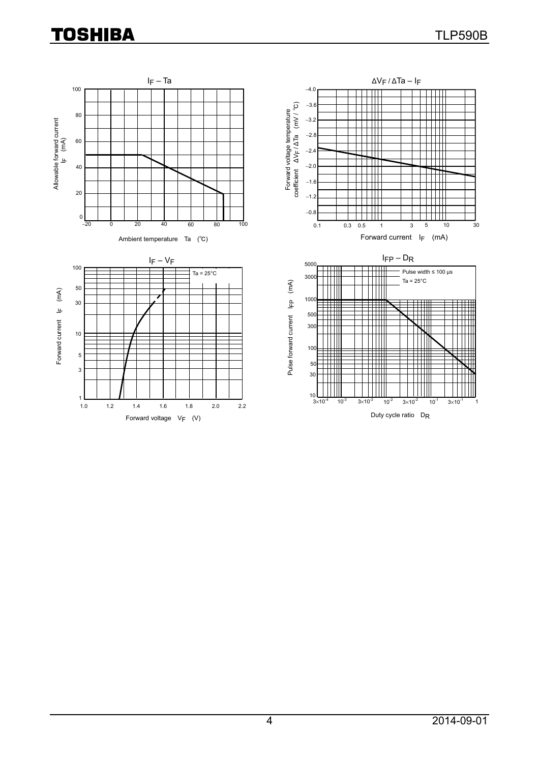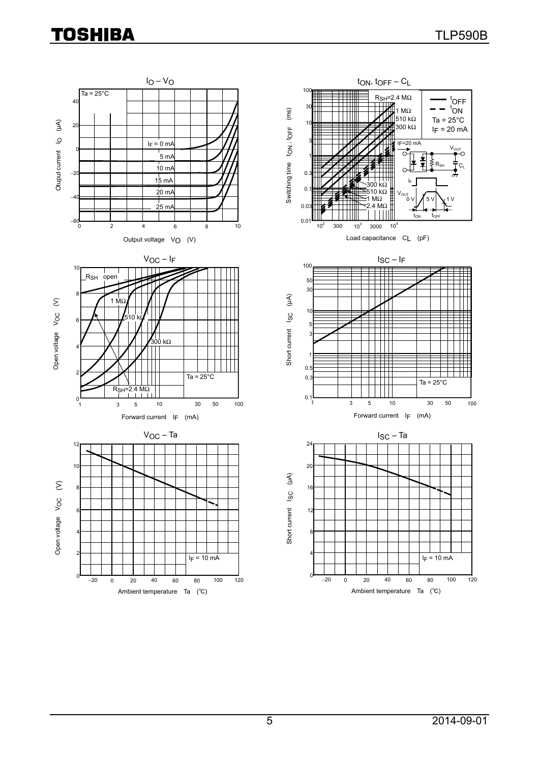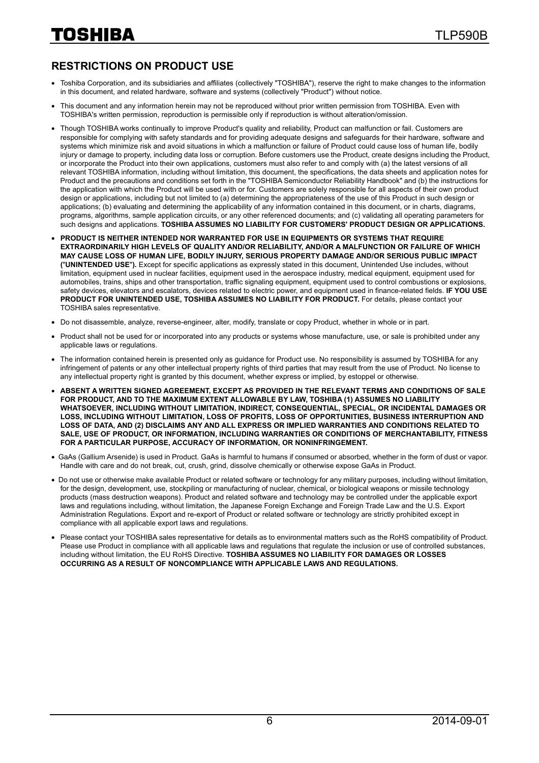### **RESTRICTIONS ON PRODUCT USE**

- Toshiba Corporation, and its subsidiaries and affiliates (collectively "TOSHIBA"), reserve the right to make changes to the information in this document, and related hardware, software and systems (collectively "Product") without notice.
- This document and any information herein may not be reproduced without prior written permission from TOSHIBA. Even with TOSHIBA's written permission, reproduction is permissible only if reproduction is without alteration/omission.
- Though TOSHIBA works continually to improve Product's quality and reliability, Product can malfunction or fail. Customers are responsible for complying with safety standards and for providing adequate designs and safeguards for their hardware, software and systems which minimize risk and avoid situations in which a malfunction or failure of Product could cause loss of human life, bodily injury or damage to property, including data loss or corruption. Before customers use the Product, create designs including the Product, or incorporate the Product into their own applications, customers must also refer to and comply with (a) the latest versions of all relevant TOSHIBA information, including without limitation, this document, the specifications, the data sheets and application notes for Product and the precautions and conditions set forth in the "TOSHIBA Semiconductor Reliability Handbook" and (b) the instructions for the application with which the Product will be used with or for. Customers are solely responsible for all aspects of their own product design or applications, including but not limited to (a) determining the appropriateness of the use of this Product in such design or applications; (b) evaluating and determining the applicability of any information contained in this document, or in charts, diagrams, programs, algorithms, sample application circuits, or any other referenced documents; and (c) validating all operating parameters for such designs and applications. **TOSHIBA ASSUMES NO LIABILITY FOR CUSTOMERS' PRODUCT DESIGN OR APPLICATIONS.**
- **PRODUCT IS NEITHER INTENDED NOR WARRANTED FOR USE IN EQUIPMENTS OR SYSTEMS THAT REQUIRE EXTRAORDINARILY HIGH LEVELS OF QUALITY AND/OR RELIABILITY, AND/OR A MALFUNCTION OR FAILURE OF WHICH MAY CAUSE LOSS OF HUMAN LIFE, BODILY INJURY, SERIOUS PROPERTY DAMAGE AND/OR SERIOUS PUBLIC IMPACT (**"**UNINTENDED USE**"**).** Except for specific applications as expressly stated in this document, Unintended Use includes, without limitation, equipment used in nuclear facilities, equipment used in the aerospace industry, medical equipment, equipment used for automobiles, trains, ships and other transportation, traffic signaling equipment, equipment used to control combustions or explosions, safety devices, elevators and escalators, devices related to electric power, and equipment used in finance-related fields. **IF YOU USE PRODUCT FOR UNINTENDED USE, TOSHIBA ASSUMES NO LIABILITY FOR PRODUCT.** For details, please contact your TOSHIBA sales representative.
- Do not disassemble, analyze, reverse-engineer, alter, modify, translate or copy Product, whether in whole or in part.
- Product shall not be used for or incorporated into any products or systems whose manufacture, use, or sale is prohibited under any applicable laws or regulations.
- The information contained herein is presented only as quidance for Product use. No responsibility is assumed by TOSHIBA for any infringement of patents or any other intellectual property rights of third parties that may result from the use of Product. No license to any intellectual property right is granted by this document, whether express or implied, by estoppel or otherwise.
- **ABSENT A WRITTEN SIGNED AGREEMENT, EXCEPT AS PROVIDED IN THE RELEVANT TERMS AND CONDITIONS OF SALE FOR PRODUCT, AND TO THE MAXIMUM EXTENT ALLOWABLE BY LAW, TOSHIBA (1) ASSUMES NO LIABILITY WHATSOEVER, INCLUDING WITHOUT LIMITATION, INDIRECT, CONSEQUENTIAL, SPECIAL, OR INCIDENTAL DAMAGES OR LOSS, INCLUDING WITHOUT LIMITATION, LOSS OF PROFITS, LOSS OF OPPORTUNITIES, BUSINESS INTERRUPTION AND LOSS OF DATA, AND (2) DISCLAIMS ANY AND ALL EXPRESS OR IMPLIED WARRANTIES AND CONDITIONS RELATED TO SALE, USE OF PRODUCT, OR INFORMATION, INCLUDING WARRANTIES OR CONDITIONS OF MERCHANTABILITY, FITNESS FOR A PARTICULAR PURPOSE, ACCURACY OF INFORMATION, OR NONINFRINGEMENT.**
- GaAs (Gallium Arsenide) is used in Product. GaAs is harmful to humans if consumed or absorbed, whether in the form of dust or vapor. Handle with care and do not break, cut, crush, grind, dissolve chemically or otherwise expose GaAs in Product.
- Do not use or otherwise make available Product or related software or technology for any military purposes, including without limitation, for the design, development, use, stockpiling or manufacturing of nuclear, chemical, or biological weapons or missile technology products (mass destruction weapons). Product and related software and technology may be controlled under the applicable export laws and regulations including, without limitation, the Japanese Foreign Exchange and Foreign Trade Law and the U.S. Export Administration Regulations. Export and re-export of Product or related software or technology are strictly prohibited except in compliance with all applicable export laws and regulations.
- Please contact your TOSHIBA sales representative for details as to environmental matters such as the RoHS compatibility of Product. Please use Product in compliance with all applicable laws and regulations that regulate the inclusion or use of controlled substances, including without limitation, the EU RoHS Directive. **TOSHIBA ASSUMES NO LIABILITY FOR DAMAGES OR LOSSES OCCURRING AS A RESULT OF NONCOMPLIANCE WITH APPLICABLE LAWS AND REGULATIONS.**